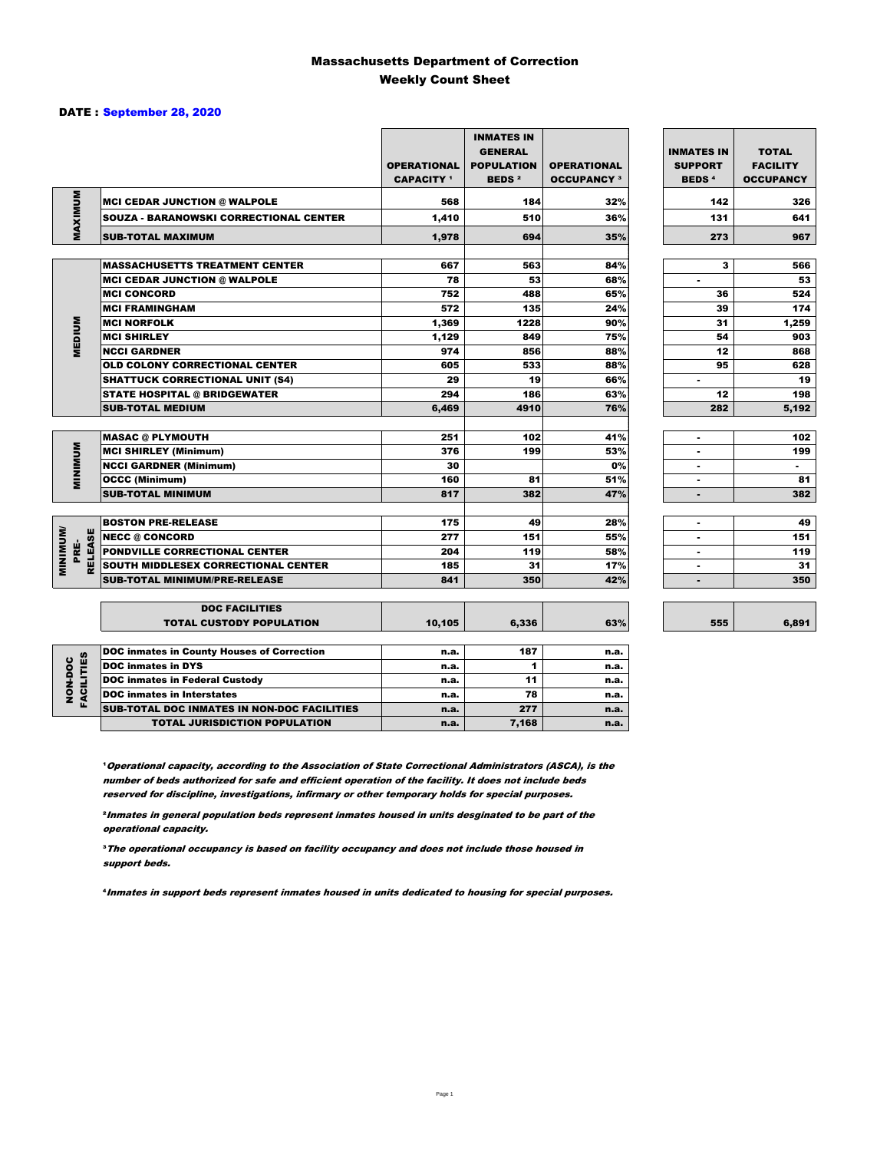### Massachusetts Department of Correction Weekly Count Sheet

6,891

### DATE : September 28, 2020

|                                   |                                                   | <b>OPERATIONAL</b><br><b>CAPACITY</b> <sup>1</sup> | <b>INMATES IN</b><br><b>GENERAL</b><br><b>POPULATION</b><br><b>BEDS<sup>2</sup></b> | <b>OPERATIONAL</b><br><b>OCCUPANCY 3</b> | <b>INMATES IN</b><br><b>SUPPORT</b><br><b>BEDS<sup>4</sup></b> | <b>TOTAL</b><br><b>FACILITY</b><br><b>OCCUPANCY</b> |
|-----------------------------------|---------------------------------------------------|----------------------------------------------------|-------------------------------------------------------------------------------------|------------------------------------------|----------------------------------------------------------------|-----------------------------------------------------|
|                                   | <b>MCI CEDAR JUNCTION @ WALPOLE</b>               | 568                                                | 184                                                                                 | 32%                                      | 142                                                            | 326                                                 |
|                                   | <b>SOUZA - BARANOWSKI CORRECTIONAL CENTER</b>     | 1,410                                              | 510                                                                                 | 36%                                      | 131                                                            | 641                                                 |
| MAXIMUM                           | <b>SUB-TOTAL MAXIMUM</b>                          | 1.978                                              | 694                                                                                 | 35%                                      | 273                                                            | 967                                                 |
|                                   |                                                   |                                                    |                                                                                     |                                          |                                                                |                                                     |
|                                   | <b>MASSACHUSETTS TREATMENT CENTER</b>             | 667                                                | 563                                                                                 | 84%                                      | з                                                              | 566                                                 |
|                                   | <b>MCI CEDAR JUNCTION @ WALPOLE</b>               | 78                                                 | 53                                                                                  | 68%                                      | $\blacksquare$                                                 | 53                                                  |
|                                   | <b>MCI CONCORD</b>                                | 752                                                | 488                                                                                 | 65%                                      | 36                                                             | 524                                                 |
|                                   | <b>MCI FRAMINGHAM</b>                             | 572                                                | 135                                                                                 | 24%                                      | 39                                                             | 174                                                 |
|                                   | <b>MCI NORFOLK</b>                                | 1,369                                              | 1228                                                                                | 90%                                      | 31                                                             | 1,259                                               |
| <b>MEDIUM</b>                     | <b>MCI SHIRLEY</b>                                | 1,129                                              | 849                                                                                 | 75%                                      | 54                                                             | 903                                                 |
|                                   | <b>NCCI GARDNER</b>                               | 974                                                | 856                                                                                 | 88%                                      | 12                                                             | 868                                                 |
|                                   | <b>OLD COLONY CORRECTIONAL CENTER</b>             | 605                                                | 533                                                                                 | 88%                                      | 95                                                             | 628                                                 |
|                                   | <b>SHATTUCK CORRECTIONAL UNIT (S4)</b>            | 29                                                 | 19                                                                                  | 66%                                      | ٠                                                              | 19                                                  |
|                                   | <b>STATE HOSPITAL @ BRIDGEWATER</b>               | 294                                                | 186                                                                                 | 63%                                      | 12                                                             | 198                                                 |
|                                   | <b>SUB-TOTAL MEDIUM</b>                           | 6,469                                              | 4910                                                                                | 76%                                      | 282                                                            | 5.192                                               |
|                                   | <b>MASAC @ PLYMOUTH</b>                           | 251                                                | 102                                                                                 | 41%                                      | ٠                                                              | 102                                                 |
| <b>MINIMUM</b>                    | <b>MCI SHIRLEY (Minimum)</b>                      | 376                                                | 199                                                                                 | 53%                                      | ۰                                                              | 199                                                 |
|                                   | <b>NCCI GARDNER (Minimum)</b>                     | 30                                                 |                                                                                     | 0%                                       | ٠                                                              | $\sim$                                              |
|                                   | <b>OCCC (Minimum)</b>                             | 160                                                | 81                                                                                  | 51%                                      | $\overline{a}$                                                 | 81                                                  |
|                                   | <b>SUB-TOTAL MINIMUM</b>                          | 817                                                | 382                                                                                 | 47%                                      | ٠                                                              | 382                                                 |
|                                   |                                                   |                                                    |                                                                                     |                                          |                                                                |                                                     |
|                                   | <b>BOSTON PRE-RELEASE</b>                         | 175                                                | 49                                                                                  | 28%                                      | $\overline{a}$                                                 | 49                                                  |
| <b>MINIMINI</b><br><b>RELEASE</b> | <b>NECC @ CONCORD</b>                             | 277                                                | 151                                                                                 | 55%                                      |                                                                | 151                                                 |
| PRE-                              | PONDVILLE CORRECTIONAL CENTER                     | 204                                                | 119                                                                                 | 58%                                      |                                                                | 119                                                 |
|                                   | SOUTH MIDDLESEX CORRECTIONAL CENTER               | 185                                                | 31                                                                                  | 17%                                      | $\blacksquare$                                                 | 31                                                  |
|                                   | <b>SUB-TOTAL MINIMUM/PRE-RELEASE</b>              | 841                                                | 350                                                                                 | 42%                                      | $\blacksquare$                                                 | 350                                                 |
|                                   | <b>DOC FACILITIES</b>                             |                                                    |                                                                                     |                                          |                                                                |                                                     |
|                                   | <b>TOTAL CUSTODY POPULATION</b>                   | 10,105                                             | 6,336                                                                               | 63%                                      | 555                                                            | 6,891                                               |
|                                   | <b>DOC inmates in County Houses of Correction</b> | n.a.                                               | 187                                                                                 | n.a.                                     |                                                                |                                                     |
| <b>FACILITIES</b>                 | <b>DOC</b> inmates in DYS                         | n.a.                                               | 1                                                                                   | n.a.                                     |                                                                |                                                     |
| NON-DOC                           | <b>DOC inmates in Federal Custody</b>             | n.a.                                               | 11                                                                                  | n.a.                                     |                                                                |                                                     |
|                                   | <b>DOC</b> inmates in Interstates                 | n.a.                                               | 78                                                                                  | n.a.                                     |                                                                |                                                     |
|                                   | CUR TOTAL BOO INIMETED IN NON-BOO FACU ITIED      |                                                    | $- - -$                                                                             |                                          |                                                                |                                                     |

**Operational capacity, according to the Association of State Correctional Administrators (ASCA), is the** number of beds authorized for safe and efficient operation of the facility. It does not include beds reserved for discipline, investigations, infirmary or other temporary holds for special purposes.

SUB-TOTAL DOC INMATES IN NON-DOC FACILITIES n.a. 277 n.a. TOTAL JURISDICTION POPULATION **n.a.** 7,168 n.a.

²Inmates in general population beds represent inmates housed in units desginated to be part of the operational capacity.

³The operational occupancy is based on facility occupancy and does not include those housed in support beds.

⁴Inmates in support beds represent inmates housed in units dedicated to housing for special purposes.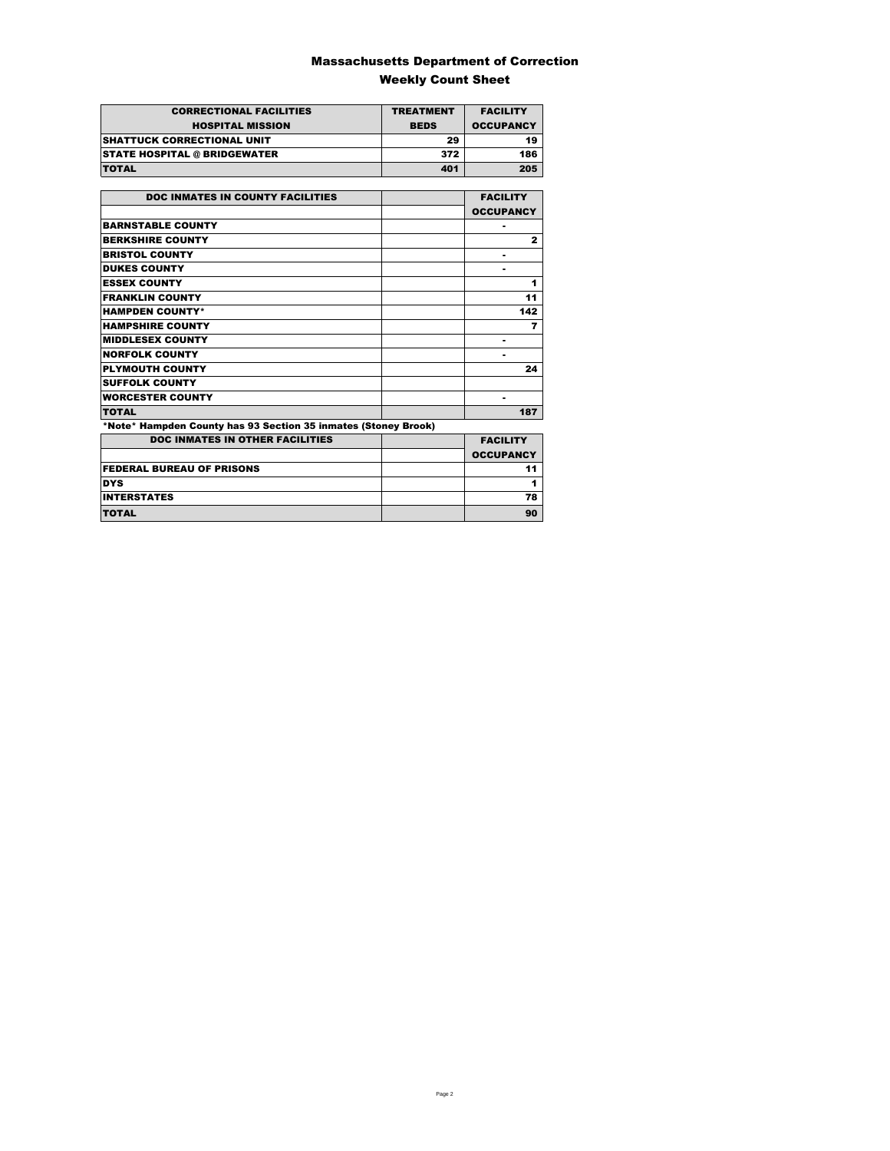### Massachusetts Department of Correction Weekly Count Sheet

| <b>CORRECTIONAL FACILITIES</b>      | <b>TREATMENT</b> | <b>FACILITY</b>  |
|-------------------------------------|------------------|------------------|
| <b>HOSPITAL MISSION</b>             | <b>BEDS</b>      | <b>OCCUPANCY</b> |
| <b>ISHATTUCK CORRECTIONAL UNIT</b>  | 29               | 19               |
| <b>STATE HOSPITAL @ BRIDGEWATER</b> | 372              | 186              |
| <b>TOTAL</b>                        | 401              | 205              |

| <b>DOC INMATES IN COUNTY FACILITIES</b>                        | <b>FACILITY</b>  |
|----------------------------------------------------------------|------------------|
|                                                                | <b>OCCUPANCY</b> |
| <b>BARNSTABLE COUNTY</b>                                       |                  |
| <b>BERKSHIRE COUNTY</b>                                        | $\mathbf{z}$     |
| <b>BRISTOL COUNTY</b>                                          |                  |
| <b>DUKES COUNTY</b>                                            |                  |
| <b>ESSEX COUNTY</b>                                            | 1                |
| <b>FRANKLIN COUNTY</b>                                         | 11               |
| <b>HAMPDEN COUNTY*</b>                                         | 142              |
| <b>HAMPSHIRE COUNTY</b>                                        | 7                |
| <b>MIDDLESEX COUNTY</b>                                        |                  |
| <b>NORFOLK COUNTY</b>                                          |                  |
| <b>PLYMOUTH COUNTY</b>                                         | 24               |
| <b>SUFFOLK COUNTY</b>                                          |                  |
| <b>WORCESTER COUNTY</b>                                        | ٠                |
| <b>TOTAL</b>                                                   | 187              |
| *Note* Hampden County has 93 Section 35 inmates (Stoney Brook) |                  |
| <b>DOC INMATES IN OTHER FACILITIES</b>                         | <b>FACILITY</b>  |
|                                                                | <b>OCCUPANCY</b> |
| <b>FEDERAL BUREAU OF PRISONS</b>                               | 11               |
| <b>DYS</b>                                                     | 1                |
| <b>INTERSTATES</b>                                             | 78               |
| <b>TOTAL</b>                                                   | 90               |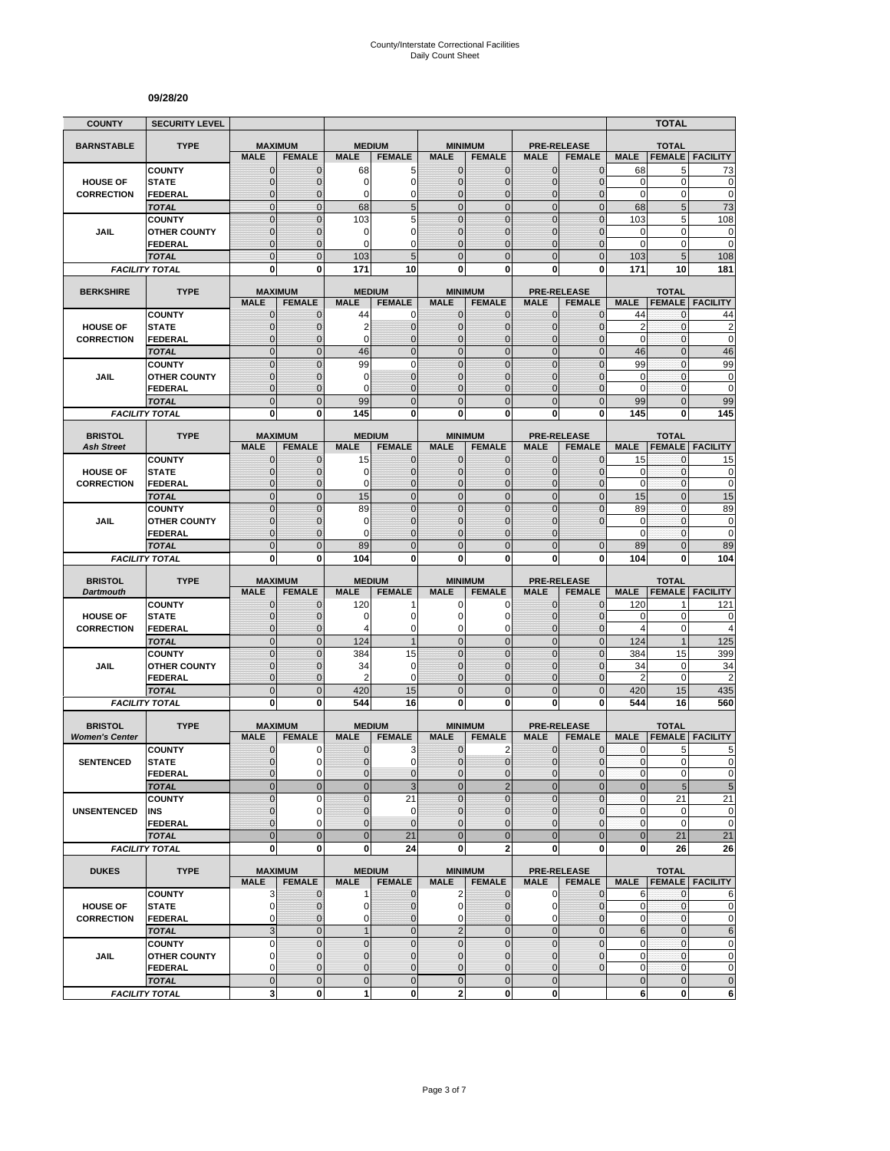#### **09/28/20**

| <b>COUNTY</b>                           | <b>SECURITY LEVEL</b>                 |                               |                                 |                              |                              |                               |                                        |                               |                                     |                  | <b>TOTAL</b>                  |                                                       |
|-----------------------------------------|---------------------------------------|-------------------------------|---------------------------------|------------------------------|------------------------------|-------------------------------|----------------------------------------|-------------------------------|-------------------------------------|------------------|-------------------------------|-------------------------------------------------------|
| <b>BARNSTABLE</b>                       | <b>TYPE</b>                           |                               | <b>MAXIMUM</b>                  | <b>MEDIUM</b>                |                              |                               | <b>MINIMUM</b>                         |                               | <b>PRE-RELEASE</b>                  |                  | <b>TOTAL</b>                  |                                                       |
|                                         |                                       | <b>MALE</b>                   | <b>FEMALE</b>                   | <b>MALE</b>                  | <b>FEMALE</b>                | <b>MALE</b>                   | <b>FEMALE</b>                          | <b>MALE</b>                   | <b>FEMALE</b>                       | <b>MALE</b>      | <b>FEMALE</b>                 | <b>FACILITY</b>                                       |
|                                         | <b>COUNTY</b>                         | $\mathbf 0$                   | $\mathbf{0}$                    | 68                           | 5                            | $\mathbf{0}$                  | 0                                      | $\mathbf{0}$                  | $\overline{0}$                      | 68               | 5                             | 73                                                    |
| <b>HOUSE OF</b>                         | <b>STATE</b>                          | $\mathbf 0$                   | $\mathbf{0}$                    | 0                            | 0                            | $\mathbf{0}$                  | 0                                      | $\mathbf{0}$                  | $\overline{0}$                      | 0                | 0                             | 0                                                     |
| <b>CORRECTION</b>                       | <b>FEDERAL</b>                        | $\Omega$                      | 0                               | 0                            | $\mathbf 0$                  | 0                             | $\overline{0}$                         | $\Omega$                      | 0                                   | $\mathbf 0$      | 0                             | $\mathbf 0$                                           |
|                                         | <b>TOTAL</b><br><b>COUNTY</b>         | $\overline{0}$<br>$\mathbf 0$ | $\mathbf{0}$<br>$\mathbf 0$     | 68<br>103                    | 5<br>5                       | $\mathbf{0}$<br>$\mathbf{0}$  | $\mathbf 0$<br>$\mathbf 0$             | $\overline{0}$<br>$\mathbf 0$ | $\overline{0}$<br>$\mathbf 0$       | 68<br>103        | $5\phantom{.0}$<br>5          | 73<br>108                                             |
| JAIL                                    | <b>OTHER COUNTY</b>                   | $\overline{0}$                | $\mathbf 0$                     | 0                            | $\mathbf 0$                  | $\Omega$                      | $\overline{0}$                         | $\Omega$                      | $\overline{0}$                      | 0                | 0                             | $\pmb{0}$                                             |
|                                         | FEDERAL                               | $\mathbf 0$                   | $\mathbf{0}$                    | 0                            | $\mathbf 0$                  | $\mathbf{0}$                  | 0                                      | $\mathbf{0}$                  | 0                                   | 0                | $\mathbf 0$                   | $\mathbf 0$                                           |
|                                         | <b>TOTAL</b>                          | $\overline{0}$                | $\mathbf{0}$                    | 103                          | 5                            | $\Omega$                      | $\overline{0}$                         | $\Omega$                      | $\mathbf 0$                         | 103              | 5                             | 108                                                   |
|                                         | <b>FACILITY TOTAL</b>                 | $\bf{0}$                      | $\bf{0}$                        | 171                          | 10                           | 0                             | 0                                      | 0                             | $\mathbf 0$                         | 171              | 10                            | 181                                                   |
|                                         |                                       |                               |                                 |                              |                              |                               |                                        |                               |                                     |                  |                               |                                                       |
| <b>BERKSHIRE</b>                        | <b>TYPE</b>                           | <b>MALE</b>                   | <b>MAXIMUM</b><br><b>FEMALE</b> | <b>MEDIUM</b><br><b>MALE</b> | <b>FEMALE</b>                | <b>MALE</b>                   | <b>MINIMUM</b><br><b>FEMALE</b>        | <b>MALE</b>                   | <b>PRE-RELEASE</b><br><b>FEMALE</b> | <b>MALE</b>      | <b>TOTAL</b><br><b>FEMALE</b> | <b>FACILITY</b>                                       |
|                                         | <b>COUNTY</b>                         | $\mathbf 0$                   | $\mathbf 0$                     | 44                           | 0                            | $\mathbf{0}$                  | 0                                      | $\mathbf 0$                   | $\mathbf{0}$                        | 44               | 0                             | 44                                                    |
| <b>HOUSE OF</b>                         | <b>STATE</b>                          | $\mathbf 0$                   | $\mathbf 0$                     | $\overline{2}$               | $\pmb{0}$                    | $\mathbf{0}$                  | $\mathbf 0$                            | $\mathbf{0}$                  | $\mathbf 0$                         | $\overline{2}$   | $\mathbf{0}$                  | $\overline{\mathbf{c}}$                               |
| <b>CORRECTION</b>                       | <b>FEDERAL</b>                        | $\mathbf{0}$                  | $\mathbf 0$                     | $\Omega$                     | $\mathbf 0$                  | $\mathbf{0}$                  | $\overline{0}$                         | $\mathbf{0}$                  | $\overline{0}$                      | $\mathbf 0$      | $\mathbf{0}$                  | $\mathbf 0$                                           |
|                                         | <b>TOTAL</b>                          | $\overline{0}$                | $\Omega$                        | 46                           | $\overline{0}$               | $\mathbf 0$                   | $\mathbf 0$                            | $\mathbf{0}$                  | $\overline{0}$                      | 46               | $\overline{0}$                | 46                                                    |
|                                         | <b>COUNTY</b>                         | $\overline{0}$                | $\mathbf 0$                     | 99                           | $\mathbf 0$                  | $\mathbf 0$                   | $\overline{0}$                         | $\Omega$                      | $\overline{0}$                      | 99               | $\mathbf 0$                   | 99                                                    |
| JAIL                                    | <b>OTHER COUNTY</b>                   | $\mathbf 0$                   | $\mathbf 0$                     | 0                            | $\mathbf 0$                  | $\mathbf{0}$                  | 0                                      | $\Omega$                      | $\mathbf 0$                         | 0                | $\mathbf 0$                   | 0                                                     |
|                                         | <b>FEDERAL</b>                        | $\overline{0}$<br>$\mathbf 0$ | $\mathbf 0$<br>$\overline{0}$   | $\Omega$                     | $\overline{0}$               | $\mathbf{0}$<br>$\mathbf 0$   | $\overline{0}$<br>$\mathbf 0$          | $\Omega$<br>$\mathbf{0}$      | $\overline{0}$                      | $\mathbf 0$      | $\mathbf{0}$<br>$\mathbf{0}$  | $\mathbf 0$<br>99                                     |
|                                         | <b>TOTAL</b><br><b>FACILITY TOTAL</b> | $\mathbf 0$                   | 0                               | 99<br>145                    | $\mathbf 0$<br>$\mathbf 0$   | $\mathbf{0}$                  | $\mathbf 0$                            | $\mathbf 0$                   | $\mathbf 0$<br>$\mathbf 0$          | 99<br>145        | 0                             | 145                                                   |
|                                         |                                       |                               |                                 |                              |                              |                               |                                        |                               |                                     |                  |                               |                                                       |
| <b>BRISTOL</b>                          | <b>TYPE</b>                           |                               | <b>MAXIMUM</b>                  | <b>MEDIUM</b>                |                              |                               | <b>MINIMUM</b>                         |                               | <b>PRE-RELEASE</b>                  |                  | <b>TOTAL</b>                  |                                                       |
| <b>Ash Street</b>                       |                                       | <b>MALE</b>                   | <b>FEMALE</b>                   | <b>MALE</b>                  | <b>FEMALE</b>                | <b>MALE</b>                   | <b>FEMALE</b>                          | <b>MALE</b>                   | <b>FEMALE</b>                       | <b>MALE</b>      | <b>FEMALE</b>                 | <b>FACILITY</b>                                       |
|                                         | <b>COUNTY</b>                         | $\mathbf 0$                   | $\mathbf 0$                     | 15                           | $\mathbf{0}$                 | $\mathbf 0$                   | $\mathbf{0}$                           | $\mathbf 0$                   | $\overline{0}$                      | 15               | 0                             | 15                                                    |
| <b>HOUSE OF</b><br><b>CORRECTION</b>    | <b>STATE</b><br><b>FEDERAL</b>        | $\mathbf 0$<br>$\overline{0}$ | $\Omega$<br>$\mathbf{0}$        | 0<br>0                       | $\mathbf{0}$<br>$\mathbf{0}$ | $\Omega$<br>$\mathbf{0}$      | 0<br>$\mathbf 0$                       | $\Omega$<br>$\mathbf{0}$      | $\overline{0}$<br>$\mathbf 0$       | 0<br>$\mathbf 0$ | 0<br>$\mathbf{0}$             | $\bf{0}$<br>$\mathbf 0$                               |
|                                         | <b>TOTAL</b>                          | $\overline{0}$                | $\mathbf{0}$                    | 15                           | $\mathbf 0$                  | $\overline{0}$                | $\mathbf 0$                            | $\mathbf{0}$                  | $\mathbf 0$                         | 15               | $\overline{0}$                | 15                                                    |
|                                         | <b>COUNTY</b>                         | $\Omega$                      | $\Omega$                        | 89                           | $\Omega$                     | $\Omega$                      | $\overline{0}$                         | $\Omega$                      | $\overline{0}$                      | 89               | $\overline{0}$                | 89                                                    |
| JAIL                                    | <b>OTHER COUNTY</b>                   | $\overline{0}$                | $\mathbf 0$                     | 0                            | $\overline{0}$               | $\mathbf{0}$                  | $\overline{0}$                         | $\mathbf 0$                   | $\Omega$                            | $\mathbf 0$      | $\mathbf 0$                   | $\mathbf 0$                                           |
|                                         | <b>FEDERAL</b>                        | $\overline{0}$                | $\mathbf 0$                     | 0                            | $\mathbf 0$                  | $\mathbf{0}$                  | 0                                      | $\Omega$                      |                                     | $\mathbf 0$      | 0                             | $\mathbf 0$                                           |
|                                         | <b>TOTAL</b>                          | $\overline{0}$                | $\mathbf{0}$                    | 89                           | $\mathbf 0$                  | $\Omega$                      | $\overline{0}$                         | $\Omega$                      | $\overline{0}$                      | 89               | $\overline{0}$                | 89                                                    |
|                                         |                                       |                               |                                 |                              |                              |                               |                                        |                               |                                     |                  |                               |                                                       |
|                                         | <b>FACILITY TOTAL</b>                 | 0                             | 0                               | 104                          | 0                            | $\mathbf{0}$                  | 0                                      | 0                             | 0                                   | 104              | 0                             | 104                                                   |
| <b>BRISTOL</b>                          | <b>TYPE</b>                           |                               | <b>MAXIMUM</b>                  | <b>MEDIUM</b>                |                              |                               | <b>MINIMUM</b>                         |                               |                                     |                  |                               |                                                       |
| <b>Dartmouth</b>                        |                                       | <b>MALE</b>                   | <b>FEMALE</b>                   | <b>MALE</b>                  | <b>FEMALE</b>                | <b>MALE</b>                   | <b>FEMALE</b>                          | <b>MALE</b>                   | <b>PRE-RELEASE</b><br><b>FEMALE</b> | <b>MALE</b>      | <b>TOTAL</b><br><b>FEMALE</b> | <b>FACILITY</b>                                       |
|                                         | <b>COUNTY</b>                         | $\mathbf 0$                   | $\mathbf 0$                     | 120                          | 1                            | 0                             | 0                                      | $\mathbf 0$                   | $\overline{0}$                      | 120              |                               | 121                                                   |
| <b>HOUSE OF</b>                         | <b>STATE</b>                          | $\mathbf 0$                   | $\Omega$                        | 0                            | $\mathbf 0$                  | $\Omega$                      | 0                                      | $\Omega$                      | $\mathbf 0$                         | 0                | $\mathbf 0$                   | $\mathbf 0$                                           |
| <b>CORRECTION</b>                       | <b>FEDERAL</b>                        | $\overline{0}$                | $\mathbf{0}$                    | 4                            | $\mathbf 0$                  | $\mathbf 0$                   | 0                                      | $\mathbf{0}$                  | $\overline{0}$                      | 4                | 0                             | 4                                                     |
|                                         | <b>TOTAL</b>                          | $\overline{0}$                | $\mathbf{0}$                    | 124                          | $\mathbf{1}$                 | $\overline{0}$                | $\overline{0}$                         | $\mathbf{0}$                  | $\overline{0}$                      | 124              | $\mathbf{1}$                  | 125                                                   |
|                                         | <b>COUNTY</b>                         | $\mathbf 0$<br>$\overline{0}$ | $\overline{0}$<br>$\Omega$      | 384                          | 15<br>$\mathbf 0$            | $\mathbf{0}$<br>$\Omega$      | $\mathbf 0$<br>$\overline{0}$          | $\mathbf{0}$<br>$\Omega$      | $\mathbf 0$<br>$\Omega$             | 384<br>34        | 15<br>0                       | 399                                                   |
| <b>JAIL</b>                             | <b>OTHER COUNTY</b><br><b>FEDERAL</b> | $\mathbf 0$                   | $\mathbf 0$                     | 34<br>$\overline{2}$         | $\mathbf 0$                  | $\mathbf 0$                   | $\mathbf 0$                            | $\mathbf{0}$                  | $\overline{0}$                      | $\overline{2}$   | $\mathbf 0$                   | 34<br>$\overline{2}$                                  |
|                                         | <b>TOTAL</b>                          | $\mathbf 0$                   | $\overline{0}$                  | 420                          | 15                           | $\mathbf 0$                   | $\mathbf 0$                            | $\mathbf{0}$                  | $\mathbf 0$                         | 420              | 15                            | 435                                                   |
|                                         | <b>FACILITY TOTAL</b>                 | $\bf{0}$                      | $\bf{0}$                        | 544                          | 16                           | $\mathbf{0}$                  | 0                                      | 0                             | 0                                   | 544              | 16                            | 560                                                   |
|                                         |                                       |                               |                                 |                              |                              |                               |                                        |                               |                                     |                  |                               |                                                       |
| <b>BRISTOL</b><br><b>Women's Center</b> | <b>TYPE</b>                           | <b>MALE</b>                   | <b>MAXIMUM</b><br><b>FEMALE</b> | <b>MEDIUM</b><br><b>MALE</b> | <b>FEMALE</b>                | <b>MALE</b>                   | <b>MINIMUM</b><br><b>FEMALE</b>        | <b>MALE</b>                   | <b>PRE-RELEASE</b><br><b>FEMALE</b> | <b>MALE</b>      | <b>TOTAL</b><br><b>FEMALE</b> | <b>FACILITY</b>                                       |
|                                         | <b>COUNTY</b>                         | $\mathbf{0}$                  | 0                               | 0                            | 3                            | $\mathbf{0}$                  | 2                                      | $\mathbf{0}$                  | $\mathbf{0}$                        | $\mathbf{0}$     | 5                             | 5                                                     |
| <b>SENTENCED</b>                        | <b>STATE</b>                          | $\Omega$                      | 0                               | $\Omega$                     | $\Omega$                     | $\Omega$                      | $\Omega$                               | $\Omega$                      | $\Omega$                            | $\mathbf{0}$     | $\overline{0}$                |                                                       |
|                                         | <b>FEDERAL</b>                        | $\mathbf 0$                   | $\pmb{0}$                       | $\pmb{0}$                    | $\pmb{0}$                    | $\mathbf 0$                   | 0                                      | $\mathbf 0$                   | $\pmb{0}$                           | $\pmb{0}$        | $\mathbf 0$                   |                                                       |
|                                         | <b>TOTAL</b>                          | $\mathbf 0$                   | $\mathbf{0}$                    | $\pmb{0}$                    | 3                            | $\mathbf 0$                   | $\overline{2}$                         | $\mathbf{0}$                  | $\mathbf 0$                         | $\bf 0$          | $\overline{5}$                | 5                                                     |
|                                         | <b>COUNTY</b>                         | $\mathbf 0$                   | $\mathbf 0$                     | 0                            | 21                           | $\mathbf{0}$                  | $\mathbf 0$                            | $\mathbf{0}$                  | $\mathbf 0$                         | $\pmb{0}$        | 21                            | $\pmb{0}$<br>21                                       |
| UNSENTENCED                             | <b>INS</b>                            | $\mathbf 0$                   | 0                               | $\pmb{0}$                    | $\mathbf 0$                  | $\mathbf{0}$                  | $\mathbf{0}$                           | $\mathbf{0}$                  | $\mathbf{0}$                        | $\mathbf{0}$     | 0                             | $\pmb{0}$                                             |
|                                         | <b>FEDERAL</b>                        | $\overline{0}$                | 0                               | $\mathbf 0$                  | $\mathbf 0$                  | $\mathbf{0}$                  | $\mathbf 0$                            | $\mathbf{0}$                  | $\mathbf 0$                         | $\pmb{0}$        | $\mathbf 0$                   | $\pmb{0}$                                             |
|                                         | <b>TOTAL</b>                          | $\overline{0}$<br>0           | $\overline{0}$<br>$\mathbf{0}$  | $\mathbf{0}$<br>0            | 21<br>24                     | $\overline{0}$<br>0           | $\mathbf 0$<br>$\overline{\mathbf{2}}$ | $\mathbf 0$<br>$\mathbf{0}$   | $\mathbf 0$<br>0                    | $\bf 0$<br>0     | 21<br>26                      | 21<br>26                                              |
|                                         | <b>FACILITY TOTAL</b>                 |                               |                                 |                              |                              |                               |                                        |                               |                                     |                  |                               |                                                       |
| <b>DUKES</b>                            | <b>TYPE</b>                           |                               | <b>MAXIMUM</b>                  |                              | <b>MEDIUM</b>                |                               | <b>MINIMUM</b>                         |                               | <b>PRE-RELEASE</b>                  |                  | <b>TOTAL</b>                  | $\Omega$                                              |
|                                         |                                       | <b>MALE</b>                   | <b>FEMALE</b>                   | <b>MALE</b>                  | <b>FEMALE</b>                | <b>MALE</b>                   | <b>FEMALE</b>                          | <b>MALE</b>                   | <b>FEMALE</b>                       | <b>MALE</b>      |                               | <b>FEMALE FACILITY</b>                                |
|                                         | <b>COUNTY</b>                         | 3                             | $\mathbf 0$                     | $\mathbf 1$                  | $\mathbf{0}$                 | $\overline{2}$                | $\mathbf{0}$                           | $\mathbf 0$                   | $\mathbf{0}$                        | 6                | $\mathbf 0$                   | 6                                                     |
| <b>HOUSE OF</b><br><b>CORRECTION</b>    | <b>STATE</b><br><b>FEDERAL</b>        | 0<br>$\mathbf 0$              | $\mathbf{0}$<br>$\mathbf{0}$    | 0<br>0                       | $\mathbf 0$<br>$\mathbf{0}$  | $\overline{0}$<br>$\mathbf 0$ | 0<br>0                                 | 0<br>0                        | $\pmb{0}$<br>$\overline{0}$         | 0<br>0           | $\mathbf 0$<br>0              |                                                       |
|                                         | <b>TOTAL</b>                          | 3                             | $\mathbf{0}$                    | $\mathbf{1}$                 | $\mathbf 0$                  | $\overline{2}$                | $\mathbf 0$                            | $\mathbf{0}$                  | $\overline{0}$                      | $\,6$            | $\mathbf 0$                   |                                                       |
|                                         | <b>COUNTY</b>                         | 0                             | $\mathbf 0$                     | $\mathbf 0$                  | $\mathbf 0$                  | $\mathbf 0$                   | $\mathbf 0$                            | $\mathbf 0$                   | $\mathbf 0$                         | $\pmb{0}$        | $\mathbf 0$                   |                                                       |
| JAIL                                    | <b>OTHER COUNTY</b>                   | $\mathbf 0$                   | $\Omega$                        | $\mathbf{0}$                 | $\mathbf{0}$                 | $\mathbf{0}$                  | $\mathbf{0}$                           | $\Omega$                      | $\mathbf{0}$                        | $\mathbf 0$      | $\mathbf 0$                   | $\mathbf 0$<br>0<br>$\,6$<br>$\mathbf 0$<br>$\pmb{0}$ |
|                                         | <b>FEDERAL</b>                        | 0                             | $\mathbf{0}$                    | 0                            | $\pmb{0}$                    | $\mathbf{0}$                  | 0                                      | $\mathbf{0}$                  | 0                                   | $\mathbf 0$      | $\mathbf 0$                   |                                                       |
|                                         | <b>TOTAL</b><br><b>FACILITY TOTAL</b> | $\mathbf 0$<br>3              | $\mathbf{0}$<br>0               | $\pmb{0}$<br>1               | $\mathbf 0$<br>$\mathbf{0}$  | $\mathbf 0$<br>$\mathbf{2}$   | $\mathbf 0$<br>0                       | $\mathbf{0}$<br>$\mathbf 0$   |                                     | $\mathbf 0$<br>6 | $\mathbf 0$<br>0              | $\pmb{0}$<br>$\pmb{0}$<br>6                           |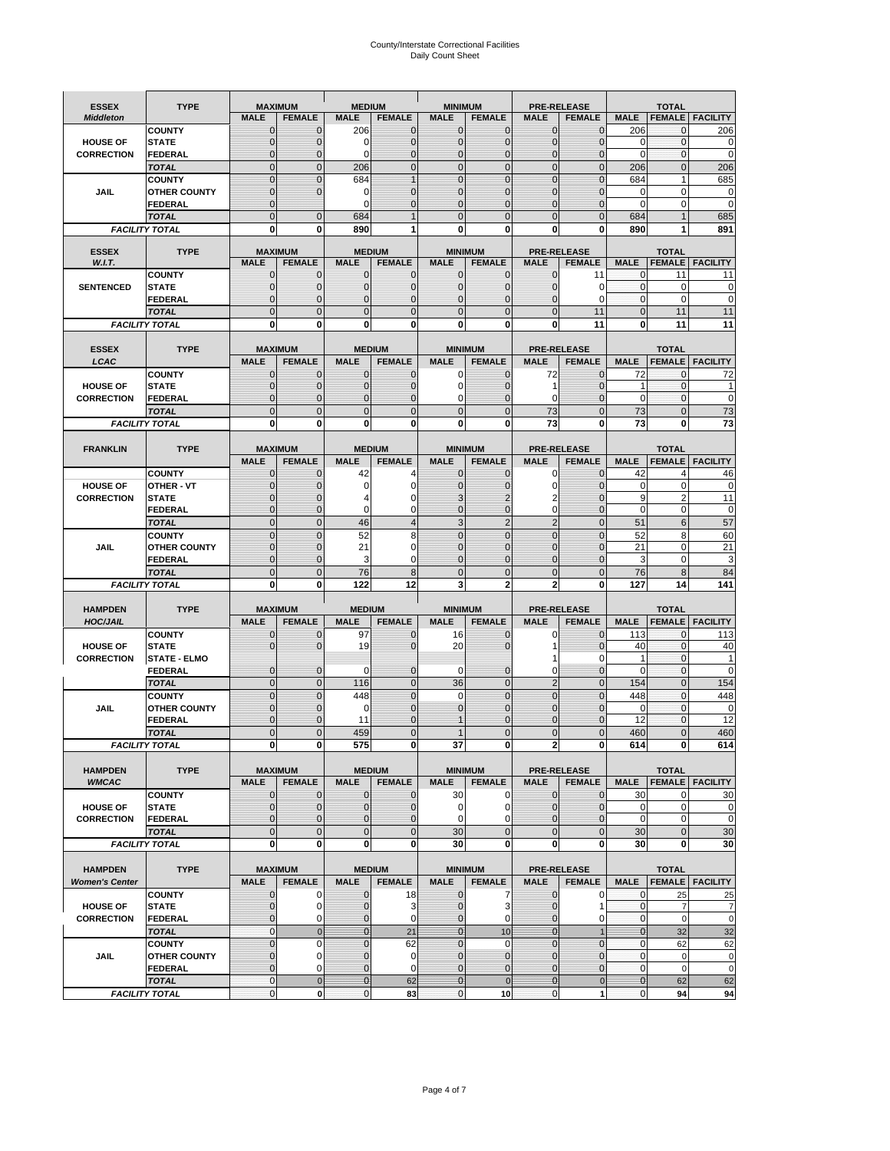# County/Interstate Correctional Facilities Daily Count Sheet

| <b>ESSEX</b>           | <b>TYPE</b>                           |                               | <b>MAXIMUM</b>                  | <b>MEDIUM</b>               |                                | <b>MINIMUM</b>               |                                 |                                   | <b>PRE-RELEASE</b>                  |                            | <b>TOTAL</b>                    |                          |
|------------------------|---------------------------------------|-------------------------------|---------------------------------|-----------------------------|--------------------------------|------------------------------|---------------------------------|-----------------------------------|-------------------------------------|----------------------------|---------------------------------|--------------------------|
| <b>Middleton</b>       |                                       | <b>MALE</b>                   | <b>FEMALE</b>                   | <b>MALE</b>                 | <b>FEMALE</b>                  | <b>MALE</b>                  | <b>FEMALE</b>                   | MALE                              | <b>FEMALE</b>                       | <b>MALE</b>                | <b>FEMALE</b>                   | <b>FACILITY</b>          |
|                        | <b>COUNTY</b>                         | 0                             | 0                               | 206                         | 0                              | $\mathbf 0$                  | $\mathbf{0}$                    | $\mathbf{0}$                      | $\Omega$                            | 206                        | 0                               | 206                      |
| <b>HOUSE OF</b>        | <b>STATE</b>                          | 0                             | $\mathbf 0$                     | $\Omega$                    | 0                              | $\mathbf{0}$                 | $\Omega$                        | $\mathbf 0$                       | $\Omega$                            | $\Omega$                   | $\Omega$                        | 0                        |
| <b>CORRECTION</b>      | <b>FEDERAL</b>                        | 0                             | $\mathbf 0$                     | 0                           | 0                              | $\mathbf{0}$                 | $\mathbf 0$                     | $\mathbf{0}$                      | $\mathbf 0$                         | $\mathbf 0$                | $\mathbf{0}$                    | $\mathbf 0$              |
|                        | <b>TOTAL</b><br><b>COUNTY</b>         | $\overline{0}$<br>$\mathbf 0$ | $\overline{0}$<br>$\mathbf 0$   | 206<br>684                  | $\mathbf 0$<br>1               | $\mathbf 0$<br>$\mathbf{0}$  | $\overline{0}$<br>$\Omega$      | $\mathbf 0$<br>$\mathbf 0$        | $\overline{0}$<br>$\Omega$          | 206<br>684                 | $\mathbf{0}$<br>1               | 206<br>685               |
| JAIL                   | <b>OTHER COUNTY</b>                   | $\mathbf 0$                   | $\overline{0}$                  | 0                           | 0                              | $\mathbf{0}$                 | $\mathbf{0}$                    | $\mathbf 0$                       | ſ                                   | 0                          | 0                               | 0                        |
|                        | <b>FEDERAL</b>                        | $\mathbf{0}$                  |                                 | $\Omega$                    | $\Omega$                       | $\mathbf{0}$                 | $\Omega$                        | $\mathbf{0}$                      | 0                                   | $\Omega$                   | $\mathbf 0$                     | 0                        |
|                        | <b>TOTAL</b>                          | $\overline{0}$                | $\mathbf 0$                     | 684                         |                                | $\Omega$                     | $\Omega$                        | $\overline{0}$                    | $\Omega$                            | 684                        |                                 | 685                      |
|                        | <b>FACILITY TOTAL</b>                 | 0                             | 0                               | 890                         |                                | $\bf{0}$                     | 0                               | 0                                 | 0                                   | 890                        |                                 | 891                      |
|                        |                                       |                               |                                 |                             |                                |                              |                                 |                                   |                                     |                            |                                 |                          |
| <b>ESSEX</b><br>W.I.T. | <b>TYPE</b>                           | <b>MALE</b>                   | <b>MAXIMUM</b><br><b>FEMALE</b> | <b>MALE</b>                 | <b>MEDIUM</b><br><b>FEMALE</b> | <b>MALE</b>                  | <b>MINIMUM</b><br><b>FEMALE</b> | <b>MALE</b>                       | <b>PRE-RELEASE</b><br><b>FEMALE</b> | <b>MALE</b>                | <b>TOTAL</b><br><b>FEMALE</b>   | <b>FACILITY</b>          |
|                        | <b>COUNTY</b>                         | $\mathbf{0}$                  | 0                               | $\mathbf 0$                 | 0                              | $\mathbf 0$                  | $\mathbf{0}$                    | 0                                 | 11                                  | 0                          | 11                              | 11                       |
| <b>SENTENCED</b>       | <b>STATE</b>                          | 0                             | $\mathbf 0$                     | $\mathbf{0}$                | $\overline{0}$                 | $\mathbf{0}$                 | $\mathbf{0}$                    | $\mathbf{0}$                      | $\Omega$                            | $\mathbf 0$                | $\mathbf 0$                     | 0                        |
|                        | <b>FEDERAL</b>                        | $\mathbf 0$                   | $\mathbf 0$                     | $\mathbf{0}$                | 0                              | $\mathbf{0}$                 | 0                               | $\mathbf 0$                       | 0                                   | $\mathbf{0}$               | $\Omega$                        | $\mathbf 0$              |
|                        | <b>TOTAL</b>                          | $\overline{0}$                | $\overline{0}$                  | $\mathbf 0$                 | $\overline{0}$                 | $\mathbf{0}$                 | $\overline{0}$                  | $\overline{0}$                    | 11                                  | $\mathbf{0}$               | 11                              | 11                       |
|                        | <b>FACILITY TOTAL</b>                 | 0                             | 0                               | $\bf{0}$                    | O                              | $\bf{0}$                     | 0                               | 0                                 | 11                                  | $\bf{0}$                   | 11                              | 11                       |
|                        |                                       |                               |                                 |                             |                                |                              |                                 |                                   |                                     |                            |                                 |                          |
| <b>ESSEX</b><br>LCAC   | <b>TYPE</b>                           | <b>MALE</b>                   | <b>MAXIMUM</b><br><b>FEMALE</b> | <b>MALE</b>                 | <b>MEDIUM</b><br><b>FEMALE</b> | <b>MALE</b>                  | <b>MINIMUM</b><br><b>FEMALE</b> | <b>MALE</b>                       | <b>PRE-RELEASE</b><br><b>FEMALE</b> | <b>MALE</b>                | <b>TOTAL</b>                    | <b>FEMALE   FACILITY</b> |
|                        | <b>COUNTY</b>                         | 0                             | 0                               | $\mathbf{0}$                | 0                              | 0                            | $\mathbf{0}$                    | 72                                | $\Omega$                            | 72                         | $\Omega$                        | 72                       |
| <b>HOUSE OF</b>        | <b>STATE</b>                          | 0                             | $\overline{0}$                  | $\mathbf 0$                 | 0                              | $\mathbf 0$                  | $\Omega$                        | 1                                 | $\Omega$                            | 1                          | $\mathbf 0$                     |                          |
| <b>CORRECTION</b>      | FEDERAL                               | 0                             | 0                               | $\mathbf{0}$                | 0                              | 0                            | $\Omega$                        | 0                                 | $\mathbf 0$                         | $\mathbf 0$                | $\mathbf 0$                     | $\mathbf 0$              |
|                        | <b>TOTAL</b>                          | $\Omega$                      | $\overline{0}$                  | $\mathbf 0$                 | $\overline{0}$                 | $\mathbf{0}$                 | $\Omega$                        | 73                                | $\Omega$                            | 73                         | $\Omega$                        | 73                       |
|                        | <b>FACILITY TOTAL</b>                 | 0                             | 0                               | 0                           | 0                              | $\bf{0}$                     | 0                               | 73                                | $\bf{0}$                            | 73                         | 0                               | 73                       |
|                        |                                       |                               |                                 |                             |                                |                              |                                 |                                   |                                     |                            |                                 |                          |
| <b>FRANKLIN</b>        | <b>TYPE</b>                           |                               | <b>MAXIMUM</b><br><b>FEMALE</b> | <b>MALE</b>                 | <b>MEDIUM</b><br><b>FEMALE</b> | <b>MALE</b>                  | <b>MINIMUM</b><br><b>FEMALE</b> | <b>PRE-RELEASE</b><br><b>MALE</b> | <b>FEMALE</b>                       | <b>MALE</b>                | <b>TOTAL</b>                    |                          |
|                        | <b>COUNTY</b>                         | <b>MALE</b><br>$\mathbf{0}$   | 0                               | 42                          | 4                              | $\mathbf{0}$                 | 0                               | 0                                 | $\Omega$                            | 42                         | <b>FEMALE</b><br>$\overline{4}$ | <b>FACILITY</b><br>46    |
| <b>HOUSE OF</b>        | <b>OTHER - VT</b>                     | 0                             | $\overline{0}$                  | 0                           | 0                              | $\mathbf{0}$                 | 0                               | $\mathbf 0$                       | $\Omega$                            | $\mathbf 0$                | $\mathbf 0$                     | $\mathbf 0$              |
| <b>CORRECTION</b>      | <b>STATE</b>                          | $\Omega$                      | $\mathbf 0$                     |                             | 0                              | 3                            | 2                               | 2                                 | $\sqrt{ }$                          | 9                          | $\overline{2}$                  | 11                       |
|                        | FEDERAL                               | $\mathbf{0}$                  | $\overline{0}$                  | $\mathbf 0$                 | 0                              | $\mathbf{0}$                 | $\mathbf{0}$                    | 0                                 | $\overline{0}$                      | $\mathbf 0$                | $\mathbf 0$                     | $\mathbf 0$              |
|                        | <b>TOTAL</b>                          | $\overline{0}$                | $\mathbf{0}$                    | 46                          | $\overline{4}$                 | 3                            | $\overline{2}$                  | $\overline{2}$                    | $\overline{0}$                      | 51                         | 6                               | 57                       |
|                        | <b>COUNTY</b>                         | $\Omega$                      | $\overline{0}$                  | 52                          | 8                              | $\Omega$                     | $\Omega$                        | $\mathbf 0$                       | $\Omega$                            | 52                         | 8                               | 60                       |
| JAIL                   | <b>OTHER COUNTY</b>                   | 0                             | $\overline{0}$                  | 21                          | 0                              | $\mathbf 0$                  | $\Omega$                        | $\mathbf 0$                       | $\sqrt{ }$                          | 21                         | $\mathbf 0$                     | 21                       |
|                        | <b>FEDERAL</b>                        | 0<br>$\mathbf{0}$             | 0<br>$\overline{0}$             | 3                           | 0<br>8                         | $\mathbf{0}$<br>$\mathbf{0}$ | $\mathbf 0$<br>$\Omega$         | 0<br>$\overline{0}$               | $\Omega$<br>$\Omega$                | 3<br>76                    | $\mathbf 0$<br>8                | 3<br>84                  |
|                        | <b>TOTAL</b><br><b>FACILITY TOTAL</b> | 0                             | 0                               | 76<br>122                   | 12                             | 3                            | $\overline{2}$                  | $\overline{2}$                    | 0                                   | 127                        | 14                              | 141                      |
|                        |                                       |                               |                                 |                             |                                |                              |                                 |                                   |                                     |                            |                                 |                          |
| <b>HAMPDEN</b>         | <b>TYPE</b>                           |                               | <b>MAXIMUM</b>                  | <b>MEDIUM</b>               |                                | <b>MINIMUM</b>               |                                 |                                   | <b>PRE-RELEASE</b>                  |                            | <b>TOTAL</b>                    |                          |
| <b>HOC/JAIL</b>        |                                       | <b>MALE</b>                   | <b>FEMALE</b>                   | <b>MALE</b>                 | <b>FEMALE</b>                  | <b>MALE</b>                  | <b>FEMALE</b>                   | <b>MALE</b>                       | <b>FEMALE</b>                       | <b>MALE</b>                | <b>FEMALE</b>                   | <b>FACILITY</b>          |
|                        | <b>COUNTY</b>                         | 0                             | 0                               | 97                          | 0                              | 16                           | 0                               | 0                                 | $\mathbf 0$                         | 113                        | $\mathbf{0}$                    | 113                      |
| <b>HOUSE OF</b>        | <b>STATE</b>                          | 0                             | $\overline{0}$                  | 19                          | 0                              | 20                           | $\Omega$                        | 1<br>1                            | $\Omega$<br>0                       | 40<br>1                    | $\Omega$<br>$\mathbf{0}$        | 40<br>1                  |
| <b>CORRECTION</b>      | <b>STATE - ELMO</b><br><b>FEDERAL</b> | $\mathbf{0}$                  | $\mathbf 0$                     | $\Omega$                    | 0                              | 0                            | $\mathbf{0}$                    | 0                                 | 0                                   | $\Omega$                   | $\Omega$                        | 0                        |
|                        | <b>TOTAL</b>                          | $\overline{0}$                | $\overline{0}$                  | 116                         | $\overline{0}$                 | 36                           | $\overline{0}$                  | $\overline{2}$                    | $\Omega$                            | 154                        | $\Omega$                        | 154                      |
|                        | <b>COUNTY</b>                         | $\overline{0}$                | $\overline{0}$                  | 448                         | 0                              | $\mathbf 0$                  | $\overline{0}$                  | $\overline{0}$                    | $\overline{0}$                      | 448                        | $\mathbf{0}$                    | 448                      |
| <b>JAIL</b>            | <b>OTHER COUNTY</b>                   | 0                             | $\mathbf 0$                     | 0                           | 0                              | $\mathbf{0}$                 | $\Omega$                        | $\mathbf 0$                       | $\Omega$                            | $\mathbf 0$                | $\mathbf 0$                     | 0                        |
|                        | <b>FEDERAL</b>                        | $\Omega$                      | $\mathbf 0$                     | 11                          | $\Omega$                       | 1                            | $\Omega$                        | $\mathbf 0$                       | $\Omega$                            | 12                         | $\Omega$                        | 12                       |
|                        | <b>TOTAL</b>                          | $\overline{0}$                | $\overline{0}$                  | 459                         | $\Omega$                       |                              | $\overline{0}$                  | $\overline{0}$                    | $\Omega$                            | 460                        | $\Omega$                        | 460                      |
|                        | <b>FACILITY TOTAL</b>                 | $\mathbf{0}$                  | $\boldsymbol{0}$                | 575                         | 0                              | 37                           | 0                               | 2                                 | 0                                   | 614                        | $\mathbf{0}$                    | 614                      |
| <b>HAMPDEN</b>         | <b>TYPE</b>                           |                               | <b>MAXIMUM</b>                  |                             | <b>MEDIUM</b>                  |                              | <b>MINIMUM</b>                  |                                   | <b>PRE-RELEASE</b>                  |                            | <b>TOTAL</b>                    |                          |
| <b>WMCAC</b>           |                                       | <b>MALE</b>                   | <b>FEMALE</b>                   | <b>MALE</b>                 | <b>FEMALE</b>                  | <b>MALE</b>                  | <b>FEMALE</b>                   | <b>MALE</b>                       | <b>FEMALE</b>                       | <b>MALE</b>                |                                 | <b>FEMALE   FACILITY</b> |
|                        | <b>COUNTY</b>                         | $\mathbf 0$                   | $\mathbf{0}$                    | $\mathbf 0$                 | 0                              | 30                           | 0                               | $\mathbf 0$                       | $\mathbf 0$                         | 30                         | 0                               | 30                       |
| <b>HOUSE OF</b>        | <b>STATE</b>                          | $\mathbf{0}$                  | $\mathbf{0}$                    | $\overline{0}$              | 0                              | $\pmb{0}$                    | 0                               | $\mathbf{0}$                      | 0                                   | $\mathbf 0$                | $\mathbf 0$                     | 0                        |
| <b>CORRECTION</b>      | <b>FEDERAL</b>                        | $\mathbf{0}$                  | 0                               | $\overline{0}$              | 0                              | $\mathbf 0$                  | $\Omega$                        | $\mathbf{0}$                      | 0                                   | $\mathbf 0$                | $\mathbf 0$                     | $\mathbf 0$              |
|                        | <b>TOTAL</b>                          | $\mathbf 0$                   | $\overline{0}$                  | $\overline{0}$              | $\overline{0}$                 | 30                           | $\overline{0}$                  | $\mathbf 0$                       | $\mathbf 0$                         | 30                         | $\mathbf{0}$                    | 30                       |
|                        | <b>FACILITY TOTAL</b>                 | $\bf{0}$                      | 0                               | $\mathbf{0}$                | 0                              | 30                           | 0                               | 0                                 | $\bf{0}$                            | 30                         | 0                               | 30                       |
| <b>HAMPDEN</b>         | <b>TYPE</b>                           |                               | <b>MAXIMUM</b>                  |                             | <b>MEDIUM</b>                  |                              | <b>MINIMUM</b>                  |                                   | <b>PRE-RELEASE</b>                  |                            |                                 |                          |
| <b>Women's Center</b>  |                                       | <b>MALE</b>                   | <b>FEMALE</b>                   | <b>MALE</b>                 | <b>FEMALE</b>                  | <b>MALE</b>                  | <b>FEMALE</b>                   | <b>MALE</b>                       | <b>FEMALE</b>                       | <b>MALE</b>                | <b>TOTAL</b>                    | <b>FEMALE</b> FACILITY   |
|                        | <b>COUNTY</b>                         | 0                             | 0                               | $\mathbf 0$                 | 18                             | $\mathbf 0$                  | 7                               | 0                                 | 0                                   | 0                          | 25                              | 25                       |
| <b>HOUSE OF</b>        | <b>STATE</b>                          | $\mathbf{0}$                  | $\mathbf 0$                     | $\mathbf{0}$                | 3                              | $\mathbf{0}$                 | 3                               | $\mathbf 0$                       | 1                                   | $\mathbf 0$                | $\overline{7}$                  | $\overline{7}$           |
| <b>CORRECTION</b>      | <b>FEDERAL</b>                        | 0                             | 0                               | 0                           | 0                              | $\mathbf{0}$                 | 0                               | $\mathbf{0}$                      | 0                                   | $\overline{0}$             | $\mathbf 0$                     | $\mathbf 0$              |
|                        | <b>TOTAL</b>                          | 0                             | $\mathbf 0$                     | $\overline{0}$              | 21                             | $\mathbf{0}$                 | 10                              | $\mathbf{0}$                      |                                     | $\mathbf{0}$               | 32                              | 32                       |
|                        | <b>COUNTY</b>                         | $\overline{0}$                | $\mathbf 0$                     | $\mathbf{0}$                | 62                             | $\mathbf{0}$                 | $\mathbf 0$                     | $\overline{0}$                    | $\overline{0}$                      | $\mathbf{0}$               | 62                              | 62                       |
| <b>JAIL</b>            | <b>OTHER COUNTY</b>                   | 0<br>$\overline{0}$           | $\mathbf 0$<br>$\mathbf 0$      | $\mathbf 0$<br>$\mathbf{0}$ | 0<br>0                         | $\mathbf 0$<br>$\mathbf 0$   | $\mathbf{0}$<br>$\mathbf{0}$    | 0<br>$\mathbf 0$                  | $\Omega$<br>$\overline{0}$          | $\mathbf 0$<br>$\mathbf 0$ | $\mathbf 0$<br>$\mathbf 0$      | 0<br>$\mathbf 0$         |
|                        | <b>FEDERAL</b><br><b>TOTAL</b>        | $\mathbf 0$                   | $\mathbf 0$                     | $\overline{0}$              | 62                             | $\overline{0}$               | $\mathbf 0$                     | $\mathbf{0}$                      | $\mathbf 0$                         | $\mathbf{0}$               | 62                              | 62                       |
|                        | <b>FACILITY TOTAL</b>                 | $\pmb{0}$                     | $\mathbf 0$                     | $\mathbf{O}$                | 83                             | $\mathbf{0}$                 | 10                              | $\mathbf 0$                       | 1                                   | $\overline{0}$             | 94                              | 94                       |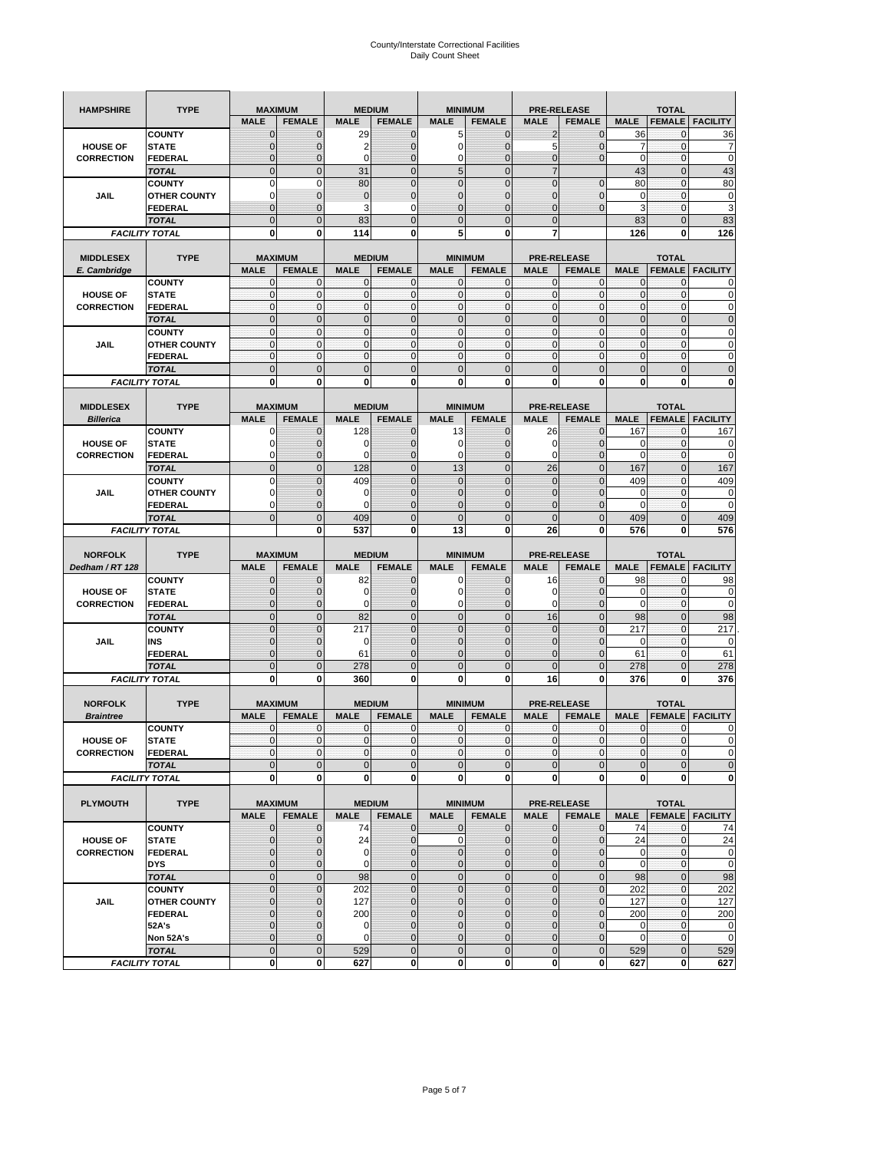| <b>HAMPSHIRE</b>                  | <b>TYPE</b>                           | <b>MAXIMUM</b>                |                             |                            | <b>MEDIUM</b>                  |                              | <b>MINIMUM</b>                  |                             | <b>PRE-RELEASE</b>                  |                           | <b>TOTAL</b>                  |                          |
|-----------------------------------|---------------------------------------|-------------------------------|-----------------------------|----------------------------|--------------------------------|------------------------------|---------------------------------|-----------------------------|-------------------------------------|---------------------------|-------------------------------|--------------------------|
|                                   |                                       | <b>MALE</b>                   | <b>FEMALE</b>               | <b>MALE</b>                | <b>FEMALE</b>                  | <b>MALE</b>                  | <b>FEMALE</b>                   | <b>MALE</b>                 | <b>FEMALE</b>                       | <b>MALE</b>               | <b>FEMALE</b>                 | <b>FACILITY</b>          |
|                                   | <b>COUNTY</b>                         | $\Omega$                      | $\mathbf 0$                 | 29                         | $\mathbf 0$                    | 5                            | $\mathbf{0}$                    | $\overline{2}$              | $\mathbf 0$                         | 36                        | $\mathbf{0}$                  | 36                       |
| <b>HOUSE OF</b>                   | <b>STATE</b>                          |                               | $\mathbf{0}$                | 2                          | $\mathbf{0}$                   | $\mathbf 0$                  | $\overline{0}$                  | 5                           | $\overline{0}$                      | 7                         | $\mathbf 0$                   | 7                        |
| <b>CORRECTION</b>                 | <b>FEDERAL</b>                        | $\mathbf 0$                   | 0                           | 0                          | $\mathbf 0$                    | 0                            | $\mathbf{0}$                    | 0                           | 0                                   | $\pmb{0}$                 | $\bf{0}$                      | $\mathbf 0$              |
|                                   | <b>TOTAL</b>                          | $\mathbf{0}$                  | $\overline{0}$              | 31                         | $\mathbf{0}$                   | 5                            | $\mathbf 0$                     | $\overline{7}$              |                                     | 43                        | $\mathbf{0}$                  | 43                       |
|                                   | <b>COUNTY</b>                         | $\mathbf 0$                   | $\mathbf 0$                 | 80                         | $\mathbf 0$                    | $\overline{0}$               | $\overline{0}$                  | $\mathbf 0$                 | $\overline{0}$                      | 80                        | $\bf{0}$                      | 80                       |
| <b>JAIL</b>                       | <b>OTHER COUNTY</b>                   | $\Omega$                      | $\mathbf{0}$                | $\overline{0}$             | $\mathbf 0$                    | $\mathbf{0}$                 | $\mathbf{0}$                    | 0                           | $\overline{0}$                      | 0                         | 0                             | 0                        |
|                                   | <b>FEDERAL</b>                        | $\mathbf{0}$                  | $\mathbf 0$                 | 3                          | $\mathbf 0$                    | $\overline{0}$               | $\mathbf{0}$                    | $\overline{0}$              | $\overline{0}$                      | 3                         | $\mathbf{0}$                  | 3                        |
|                                   | <b>TOTAL</b>                          | $\mathbf{0}$                  | $\mathbf 0$                 | 83                         | $\mathbf 0$                    | $\mathbf 0$                  | $\mathbf{0}$                    | $\mathbf 0$                 |                                     | 83                        | $\mathbf 0$                   | 83                       |
| <b>FACILITY TOTAL</b>             |                                       | 0                             | 0                           | 114                        | 0                              | 5                            | 0                               | 7                           |                                     | 126                       | 0                             | 126                      |
|                                   |                                       |                               |                             |                            |                                |                              |                                 |                             |                                     |                           |                               |                          |
| <b>MIDDLESEX</b>                  | <b>TYPE</b>                           | <b>MAXIMUM</b>                |                             | <b>MEDIUM</b>              |                                |                              | <b>MINIMUM</b>                  |                             | <b>PRE-RELEASE</b>                  |                           | <b>TOTAL</b>                  |                          |
| E. Cambridge                      |                                       | <b>MALE</b>                   | <b>FEMALE</b>               | <b>MALE</b>                | <b>FEMALE</b>                  | <b>MALE</b>                  | <b>FEMALE</b>                   | <b>MALE</b>                 | <b>FEMALE</b>                       | <b>MALE</b>               | <b>FEMALE</b>                 | <b>FACILITY</b>          |
|                                   | <b>COUNTY</b>                         | $\mathbf 0$                   | 0                           | $\Omega$                   | $\mathbf 0$                    | 0                            | $\mathbf{0}$                    | 0                           | 0                                   | 0                         | 0                             | 0                        |
| <b>HOUSE OF</b>                   | <b>STATE</b>                          | $\pmb{0}$<br>$\mathbf{0}$     | $\mathbf{0}$<br>$\mathbf 0$ | $\mathbf 0$<br>$\mathbf 0$ | $\mathbf 0$<br>$\mathbf 0$     | $\mathbf 0$<br>$\mathbf 0$   | $\mathbf 0$<br>$\mathbf{0}$     | 0                           | $\mathbf 0$<br>$\mathbf 0$          | $\pmb{0}$<br>$\mathbf{0}$ | $\mathbf 0$                   | 0<br>$\mathbf 0$         |
| <b>CORRECTION</b>                 | <b>FEDERAL</b>                        |                               |                             |                            |                                |                              |                                 | $\mathbf 0$                 |                                     |                           | $\mathbf 0$                   |                          |
|                                   | <b>TOTAL</b>                          | $\mathbf{0}$                  | $\mathbf 0$                 | $\overline{0}$             | $\mathbf{0}$                   | $\mathbf 0$                  | $\mathbf{0}$                    | $\mathbf{0}$                | $\mathbf 0$                         | $\pmb{0}$                 | $\mathbf 0$                   | $\mathbf 0$              |
|                                   | <b>COUNTY</b>                         | $\mathbf{0}$                  | $\mathbf{0}$                | $\mathbf 0$<br>$\mathbf 0$ | $\mathbf{0}$                   | $\mathbf{0}$<br>$\mathbf{0}$ | $\mathbf{0}$<br>$\mathbf{0}$    | $\mathbf 0$<br>$\mathbf{0}$ | $\mathbf{0}$                        | $\mathbf{0}$              | $\mathbf{0}$                  | 0                        |
| JAIL                              | <b>OTHER COUNTY</b>                   | $\mathbf 0$<br>$\mathbf{0}$   | $\mathbf{0}$<br>$\mathbf 0$ | $\mathbf 0$                | 0<br>$\mathbf{0}$              | $\mathbf{0}$                 | $\mathbf 0$                     | $\mathbf{0}$                | 0<br>$\mathbf 0$                    | $\pmb{0}$<br>$\mathbf{0}$ | 0<br>$\mathbf 0$              | 0<br>0                   |
|                                   | <b>FEDERAL</b>                        |                               | $\overline{0}$              |                            |                                |                              |                                 |                             |                                     |                           |                               |                          |
|                                   | <b>TOTAL</b>                          | $\overline{0}$                |                             | $\overline{0}$             | $\mathbf 0$                    | $\overline{0}$               | $\mathbf 0$                     | $\overline{0}$              | $\overline{0}$                      | $\pmb{0}$                 | $\overline{0}$                | $\overline{0}$           |
|                                   | <b>FACILITY TOTAL</b>                 | 0                             | 0                           | $\bf{0}$                   | 0                              | 0                            | 0                               | 0                           | 0                                   | 0                         | 0                             | 0                        |
| <b>MIDDLESEX</b>                  | <b>TYPE</b>                           | <b>MAXIMUM</b>                |                             |                            | <b>MEDIUM</b>                  |                              | <b>MINIMUM</b>                  |                             | <b>PRE-RELEASE</b>                  |                           | <b>TOTAL</b>                  |                          |
| <b>Billerica</b>                  |                                       | <b>MALE</b>                   | <b>FEMALE</b>               | <b>MALE</b>                | <b>FEMALE</b>                  | <b>MALE</b>                  | <b>FEMALE</b>                   | <b>MALE</b>                 | <b>FEMALE</b>                       | <b>MALE</b>               | <b>FEMALE</b>                 | <b>FACILITY</b>          |
|                                   | <b>COUNTY</b>                         | 0                             | $\mathbf{0}$                | 128                        | 0                              | 13                           | 0                               | 26                          | $\mathbf{0}$                        | 167                       | 0                             | 167                      |
| <b>HOUSE OF</b>                   | <b>STATE</b>                          | O                             | $\overline{0}$              | C                          | $\mathbf 0$                    | 0                            | $\mathbf 0$                     | 0                           | $\overline{0}$                      | 0                         | $\mathbf 0$                   | 0                        |
| <b>CORRECTION</b>                 | <b>FEDERAL</b>                        | $\Omega$                      | 0                           | $\epsilon$                 | $\mathbf 0$                    | 0                            | $\mathbf{0}$                    | 0                           | $\mathbf 0$                         | 0                         | $\mathbf 0$                   | 0                        |
|                                   | <b>TOTAL</b>                          | $\mathbf{0}$                  | $\mathbf 0$                 | 128                        | $\mathbf 0$                    | 13                           | $\mathbf 0$                     | 26                          | $\overline{0}$                      | 167                       | $\mathbf{0}$                  | 167                      |
|                                   | <b>COUNTY</b>                         | $\Omega$                      | $\mathbf 0$                 | 409                        | $\mathbf{0}$                   | $\overline{0}$               | $\Omega$                        | $\overline{0}$              | $\Omega$                            | 409                       | $\mathbf{0}$                  | 409                      |
| JAIL                              | <b>OTHER COUNTY</b>                   | 0                             | $\mathbf{0}$                | 0                          | $\mathbf{0}$                   | $\mathbf{0}$                 | $\mathbf{0}$                    | 0                           | $\overline{0}$                      | 0                         | 0                             | 0                        |
|                                   | <b>FEDERAL</b>                        | 0                             | 0                           | $\epsilon$                 | $\mathbf{0}$                   | $\overline{0}$               | $\mathbf{0}$                    | 0                           | $\overline{0}$                      | $\Omega$                  | $\mathbf 0$                   | 0                        |
|                                   | <b>TOTAL</b>                          | $\Omega$                      | $\overline{0}$              | 409                        | $\mathbf{0}$                   | $\overline{0}$               | $\mathbf 0$                     | $\overline{0}$              | $\overline{0}$                      | 409                       | $\overline{0}$                | 409                      |
|                                   | <b>FACILITY TOTAL</b>                 |                               | 0                           | 537                        | 0                              | 13                           | 0                               | 26                          | 0                                   | 576                       | 0                             | 576                      |
|                                   |                                       |                               |                             |                            |                                |                              |                                 |                             |                                     |                           |                               |                          |
|                                   |                                       |                               |                             |                            |                                |                              |                                 |                             |                                     |                           |                               |                          |
|                                   |                                       |                               |                             |                            |                                |                              |                                 |                             |                                     |                           |                               |                          |
| <b>NORFOLK</b><br>Dedham / RT 128 | <b>TYPE</b>                           | <b>MAXIMUM</b><br><b>MALE</b> |                             | <b>MALE</b>                | <b>MEDIUM</b><br><b>FEMALE</b> | <b>MALE</b>                  | <b>MINIMUM</b><br><b>FEMALE</b> | <b>MALE</b>                 | <b>PRE-RELEASE</b><br><b>FEMALE</b> | <b>MALE</b>               | <b>TOTAL</b><br><b>FEMALE</b> | <b>FACILITY</b>          |
|                                   | <b>COUNTY</b>                         | $\mathbf{0}$                  | <b>FEMALE</b><br>0          | 82                         | 0                              | 0                            | 0                               | 16                          | $\mathbf{0}$                        | 98                        | 0                             | 98                       |
| <b>HOUSE OF</b>                   | <b>STATE</b>                          | $\Omega$                      | $\mathbf 0$                 | $\Omega$                   | $\mathbf{0}$                   | $\mathbf 0$                  | $\mathbf{0}$                    | 0                           | $\overline{0}$                      | 0                         | $\mathbf{0}$                  | 0                        |
| <b>CORRECTION</b>                 | <b>FEDERAL</b>                        | 0                             | $\mathbf{0}$                | 0                          | $\mathbf{0}$                   | 0                            | $\overline{0}$                  | 0                           | $\mathbf 0$                         | $\mathbf 0$               | $\mathbf{0}$                  | $\mathbf 0$              |
|                                   | <b>TOTAL</b>                          | $\overline{0}$                | $\bf 0$                     | 82                         | $\pmb{0}$                      | $\mathbf 0$                  | $\mathbf 0$                     | 16                          | $\mathbf 0$                         | 98                        | $\mathbf 0$                   | 98                       |
|                                   | <b>COUNTY</b>                         | $\Omega$                      | $\mathbf 0$                 | 217                        | $\mathbf{0}$                   | $\overline{0}$               | $\Omega$                        | $\mathbf 0$                 | $\overline{0}$                      | 217                       | $\mathbf{0}$                  | 217                      |
| JAIL                              | INS                                   | $\mathbf{0}$                  | $\mathbf{0}$                | 0                          | $\mathbf{0}$                   | $\mathbf{0}$                 | $\mathbf 0$                     | 0                           | $\overline{0}$                      | 0                         | 0                             | 0                        |
|                                   | FEDERAL                               | $\Omega$                      | $\mathbf{0}$                | 61                         | $\mathbf{0}$                   | $\overline{0}$               | $\mathbf 0$                     | 0                           | $\overline{0}$                      | 61                        | $\mathbf 0$                   | 61                       |
|                                   | <b>TOTAL</b>                          | $\overline{0}$                | $\mathbf 0$                 | 278                        | $\mathbf{0}$                   | $\overline{0}$               | $\overline{0}$                  | $\overline{0}$              | $\overline{0}$                      | 278                       | $\overline{0}$                | 278                      |
|                                   | <b>FACILITY TOTAL</b>                 | 0                             | 0                           | 360                        | 0                              | 0                            | $\bf{0}$                        | 16                          | 0                                   | 376                       | 0                             | 376                      |
|                                   |                                       |                               |                             |                            |                                |                              |                                 |                             |                                     |                           |                               |                          |
| <b>NORFOLK</b>                    | <b>TYPE</b>                           | <b>MAXIMUM</b>                |                             | <b>MEDIUM</b>              |                                |                              | <b>MINIMUM</b>                  |                             | <b>PRE-RELEASE</b>                  |                           | <b>TOTAL</b>                  |                          |
| <b>Braintree</b>                  |                                       | <b>MALE</b>                   | <b>FEMALE</b>               | <b>MALE</b>                | <b>FEMALE</b>                  | <b>MALE</b>                  | <b>FEMALE</b>                   | <b>MALE</b>                 | <b>FEMALE</b>                       | <b>MALE</b>               | <b>FEMALE</b>                 | <b>FACILITY</b>          |
|                                   | <b>COUNTY</b>                         | $\mathbf 0$                   | $\mathbf{0}$                | $\mathbf 0$                | $\mathbf 0$                    | $\mathbf{0}$                 | $\mathbf{0}$                    | 0                           | $\mathbf 0$                         | $\mathbf 0$               | 0                             | 0                        |
| <b>HOUSE OF</b>                   | <b>STATE</b>                          | $\Omega$                      | $\Omega$                    | $\Omega$                   | $\overline{0}$                 | $\mathbf{0}$                 | $\Omega$                        | $\mathbf{0}$                | $\Omega$                            | $\Omega$                  | $\Omega$                      | $\Omega$                 |
| <b>CORRECTION</b>                 | <b>FEDERAL</b>                        | $\mathbf 0$                   | $\mathbf{0}$                | $\mathbf 0$                | $\mathbf 0$                    | $\mathbf 0$                  | $\overline{0}$                  | $\mathbf 0$                 | $\mathbf 0$                         | $\overline{0}$            | $\mathbf 0$                   | $\mathbf 0$              |
|                                   | <b>TOTAL</b>                          | $\mathbf 0$                   | $\mathbf 0$                 | $\overline{0}$             | $\mathbf 0$                    | $\mathbf 0$                  | $\mathbf 0$                     | $\mathbf 0$                 | $\mathbf 0$                         | $\mathbf 0$               | $\pmb{0}$                     | $\mathbf 0$              |
|                                   | <b>FACILITY TOTAL</b>                 | $\mathbf 0$                   | $\bf{0}$                    | 0                          | 0                              | $\mathbf{0}$                 | <sup>0</sup>                    | 0                           | 0                                   | $\mathbf{0}$              | $\mathbf 0$                   | 0                        |
|                                   |                                       |                               |                             |                            |                                |                              |                                 |                             |                                     |                           |                               |                          |
| <b>PLYMOUTH</b>                   | <b>TYPE</b>                           |                               | <b>MAXIMUM</b>              |                            | <b>MEDIUM</b>                  |                              | <b>MINIMUM</b>                  |                             | <b>PRE-RELEASE</b>                  |                           | <b>TOTAL</b>                  |                          |
|                                   |                                       | <b>MALE</b>                   | <b>FEMALE</b>               | <b>MALE</b>                | <b>FEMALE</b>                  | <b>MALE</b>                  | <b>FEMALE</b>                   | <b>MALE</b>                 | <b>FEMALE</b>                       | <b>MALE</b>               |                               | <b>FEMALE</b>   FACILITY |
|                                   | <b>COUNTY</b>                         | $\mathbf 0$                   | $\mathbf{0}$                | 74                         | $\mathbf{0}$                   | 0                            | $\mathbf{0}$                    | $\mathbf 0$                 | 0                                   | 74                        | $\mathbf 0$                   | 74                       |
| <b>HOUSE OF</b>                   | <b>STATE</b>                          | $\mathbf{0}$                  | $\mathbf{0}$                | 24                         | $\mathbf{0}$                   | 0                            | $\mathbf{0}$                    | $\mathbf 0$                 | $\overline{0}$                      | 24                        | $\mathbf 0$                   | 24                       |
| <b>CORRECTION</b>                 | <b>FEDERAL</b>                        | $\Omega$                      | $\mathbf{0}$                | $\mathbf 0$                | $\mathbf 0$                    | $\mathbf 0$                  | $\mathbf{0}$                    | 0                           | $\mathbf 0$                         | $\mathbf 0$               | $\mathbf 0$                   | $\mathbf 0$              |
|                                   | <b>DYS</b>                            | $\mathbf{0}$                  | $\mathbf{0}$                | $\mathbf 0$                | $\mathbf{0}$                   | $\mathbf 0$                  | $\mathbf{0}$                    | 0                           | $\mathbf 0$                         | $\mathbf 0$               | $\Omega$                      | $\mathbf 0$              |
|                                   | <b>TOTAL</b>                          | $\mathbf 0$                   | $\mathbf 0$                 | 98                         | $\mathbf 0$                    | $\overline{0}$               | $\mathbf 0$                     | $\overline{0}$              | $\pmb{0}$                           | 98                        | $\mathbf{0}$                  | 98                       |
|                                   | <b>COUNTY</b>                         | $\overline{0}$                | $\mathbf 0$                 | 202                        | $\pmb{0}$                      | $\mathbf 0$                  | $\overline{0}$                  | $\mathbf 0$                 | $\mathbf 0$                         | 202                       | $\mathbf 0$                   | 202                      |
| <b>JAIL</b>                       | <b>OTHER COUNTY</b>                   | $\mathbf{0}$                  | 0                           | 127                        | $\mathbf 0$                    | $\mathbf 0$                  | $\overline{0}$                  | 0                           | $\mathbf{0}$                        | 127                       | $\mathbf 0$                   | 127                      |
|                                   | <b>FEDERAL</b>                        | $\mathbf 0$                   | $\mathbf{0}$                | 200                        | $\pmb{0}$                      | $\mathbf 0$                  | $\overline{0}$                  | 0                           | $\mathbf 0$                         | 200                       | $\mathbf 0$                   | 200                      |
|                                   | 52A's                                 | $\Omega$                      | $\mathbf{0}$                | $\mathbf 0$                | $\mathbf{0}$                   | $\mathbf 0$                  | $\Omega$                        | 0                           | $\mathbf{0}$                        | $\mathbf 0$               | $\mathbf{0}$                  | $\mathbf 0$              |
|                                   | Non 52A's                             | $\overline{0}$                | $\mathbf{0}$                | $\mathbf 0$                | $\mathbf{0}$                   | $\mathbf{0}$                 | $\mathbf{0}$                    | $\mathbf 0$                 | $\mathbf{0}$                        | $\mathbf 0$               | $\mathbf 0$                   | $\mathbf 0$              |
|                                   | <b>TOTAL</b><br><b>FACILITY TOTAL</b> | $\mathbf 0$<br>$\mathbf 0$    | $\mathbf 0$<br>0            | 529<br>627                 | $\pmb{0}$<br>$\mathbf 0$       | $\mathbf 0$<br>0             | $\mathbf{0}$<br>$\mathbf 0$     | $\mathbf 0$<br>0            | $\mathbf 0$<br>$\mathbf{0}$         | 529<br>627                | $\mathbf 0$<br>$\bf{0}$       | 529<br>627               |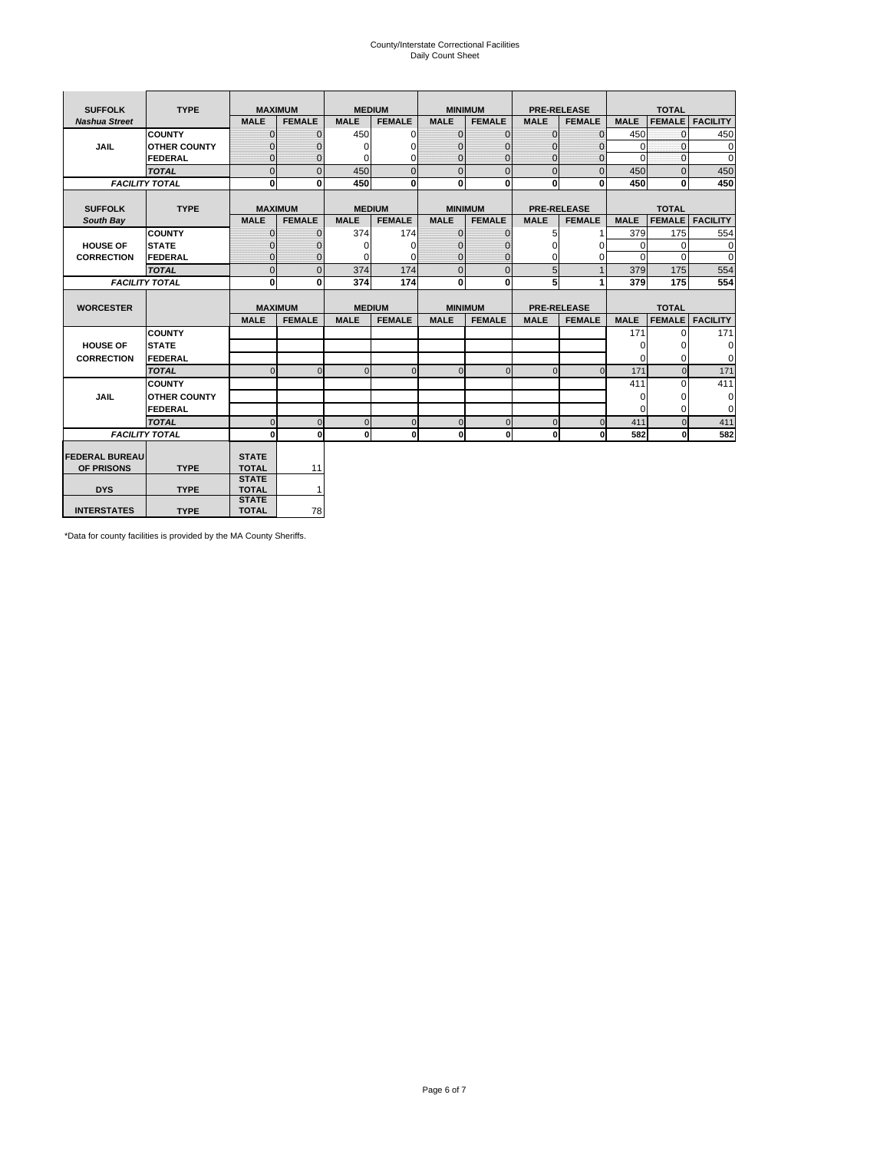# County/Interstate Correctional Facilities Daily Count Sheet

| <b>SUFFOLK</b>        | <b>TYPE</b>           |                              | <b>MAXIMUM</b> | <b>MEDIUM</b> |                |              | <b>MINIMUM</b> |                | <b>PRE-RELEASE</b> |             | <b>TOTAL</b>  |                 |
|-----------------------|-----------------------|------------------------------|----------------|---------------|----------------|--------------|----------------|----------------|--------------------|-------------|---------------|-----------------|
| <b>Nashua Street</b>  |                       | <b>MALE</b>                  | <b>FEMALE</b>  | <b>MALE</b>   | <b>FEMALE</b>  | <b>MALE</b>  | <b>FEMALE</b>  | <b>MALE</b>    | <b>FEMALE</b>      | <b>MALE</b> | <b>FEMALE</b> | <b>FACILITY</b> |
|                       | <b>COUNTY</b>         | $\Omega$                     | $\mathbf{0}$   | 450           | $\Omega$       | $\mathbf{0}$ | $\Omega$       | $\Omega$       | $\Omega$           | 450         | $\Omega$      | 450             |
| <b>JAIL</b>           | <b>OTHER COUNTY</b>   | $\Omega$                     | 0              | $\Omega$      | 0              | $\mathbf{0}$ | $\Omega$       | $\Omega$       | $\Omega$           | $\Omega$    | $\Omega$      | $\mathbf 0$     |
|                       | <b>FEDERAL</b>        | $\Omega$                     | $\Omega$       | 0             | $\Omega$       | $\mathbf{0}$ | $\Omega$       | $\Omega$       | $\Omega$           | $\Omega$    | $\Omega$      | $\Omega$        |
|                       | <b>TOTAL</b>          | $\Omega$                     | $\mathbf 0$    | 450           | $\overline{0}$ | $\mathbf{0}$ | $\mathbf 0$    | $\mathbf{0}$   | $\Omega$           | 450         | $\Omega$      | 450             |
|                       | <b>FACILITY TOTAL</b> | 0                            | 0              | 450           | $\bf{0}$       | $\mathbf{0}$ | 0              | $\mathbf{0}$   | 0                  | 450         | 0             | 450             |
|                       |                       |                              |                |               |                |              |                |                |                    |             |               |                 |
| <b>SUFFOLK</b>        | <b>TYPE</b>           | <b>MAXIMUM</b>               |                | <b>MEDIUM</b> |                |              | <b>MINIMUM</b> |                | <b>PRE-RELEASE</b> |             | <b>TOTAL</b>  |                 |
| South Bay             |                       | <b>MALE</b>                  | <b>FEMALE</b>  | <b>MALE</b>   | <b>FEMALE</b>  | <b>MALE</b>  | <b>FEMALE</b>  | <b>MALE</b>    | <b>FEMALE</b>      | <b>MALE</b> | <b>FEMALE</b> | <b>FACILITY</b> |
|                       | <b>COUNTY</b>         | $\Omega$                     | $\mathbf{0}$   | 374           | 174            | $\mathbf{0}$ | $\mathbf{0}$   | 5              |                    | 379         | 175           | 554             |
| <b>HOUSE OF</b>       | <b>STATE</b>          |                              | $\mathbf{0}$   | $\Omega$      | $\Omega$       | $\Omega$     | O              | $\Omega$       | $\Omega$           | $\Omega$    | $\Omega$      | $\Omega$        |
| <b>CORRECTION</b>     | <b>FEDERAL</b>        | $\Omega$                     | $\mathbf{0}$   | $\Omega$      | $\Omega$       | $\mathbf{0}$ | $\mathbf{0}$   | $\Omega$       | 0                  | $\Omega$    | $\Omega$      | $\Omega$        |
|                       | <b>TOTAL</b>          | $\Omega$                     | $\overline{0}$ | 374           | 174            | $\mathbf 0$  | $\mathbf{0}$   | 5              | $\mathbf{1}$       | 379         | 175           | 554             |
|                       | <b>FACILITY TOTAL</b> | 0                            | 0              | 374           | 174            | <sub>0</sub> | $\bf{0}$       | 5              | 1                  | 379         | 175           | 554             |
|                       |                       |                              |                |               |                |              |                |                |                    |             |               |                 |
| <b>WORCESTER</b>      |                       |                              | <b>MAXIMUM</b> | <b>MEDIUM</b> |                |              | <b>MINIMUM</b> |                | <b>PRE-RELEASE</b> |             | <b>TOTAL</b>  |                 |
|                       |                       | <b>MALE</b>                  | <b>FEMALE</b>  | <b>MALE</b>   | <b>FEMALE</b>  | <b>MALE</b>  | <b>FEMALE</b>  | <b>MALE</b>    | <b>FEMALE</b>      | <b>MALE</b> | <b>FEMALE</b> | <b>FACILITY</b> |
|                       | <b>COUNTY</b>         |                              |                |               |                |              |                |                |                    | 171         | $\Omega$      | 171             |
| <b>HOUSE OF</b>       | <b>STATE</b>          |                              |                |               |                |              |                |                |                    | $\Omega$    | 0             | 0               |
| <b>CORRECTION</b>     | <b>FEDERAL</b>        |                              |                |               |                |              |                |                |                    | $\Omega$    | $\Omega$      | $\Omega$        |
|                       | <b>TOTAL</b>          | U                            | $\Omega$       | $\Omega$      | $\mathbf 0$    | $\Omega$     | $\Omega$       | $\Omega$       | $\Omega$           | 171         | $\Omega$      | 171             |
|                       | <b>COUNTY</b>         |                              |                |               |                |              |                |                |                    | 411         | $\Omega$      | 411             |
| <b>JAIL</b>           | <b>OTHER COUNTY</b>   |                              |                |               |                |              |                |                |                    | 0           | 0             | 0               |
|                       | FEDERAL               |                              |                |               |                |              |                |                |                    | $\Omega$    | $\Omega$      | $\Omega$        |
|                       | <b>TOTAL</b>          | $\cap$                       | $\Omega$       | $\Omega$      | $\mathbf{0}$   | $\mathbf{0}$ | $\mathbf{0}$   | $\overline{0}$ | $\Omega$           | 411         | $\Omega$      | 411             |
|                       | <b>FACILITY TOTAL</b> | $\Omega$                     | $\mathbf 0$    | $\Omega$      | 0              | 0            | $\mathbf{0}$   | $\mathbf 0$    | 0                  | 582         | O             | 582             |
|                       |                       |                              |                |               |                |              |                |                |                    |             |               |                 |
| <b>FEDERAL BUREAU</b> |                       | <b>STATE</b>                 |                |               |                |              |                |                |                    |             |               |                 |
| OF PRISONS            | <b>TYPE</b>           | <b>TOTAL</b><br><b>STATE</b> | 11             |               |                |              |                |                |                    |             |               |                 |
| <b>DYS</b>            | <b>TYPE</b>           | <b>TOTAL</b>                 | $\mathbf{1}$   |               |                |              |                |                |                    |             |               |                 |
|                       |                       | <b>STATE</b>                 |                |               |                |              |                |                |                    |             |               |                 |
| <b>INTERSTATES</b>    | <b>TYPE</b>           | <b>TOTAL</b>                 | 78             |               |                |              |                |                |                    |             |               |                 |

\*Data for county facilities is provided by the MA County Sheriffs.